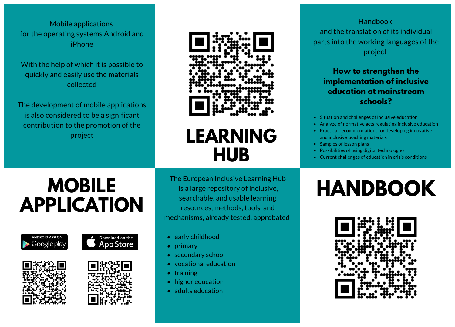Mobile applications for the operating systems Android and iPhone

With the help of which it is possible to quickly and easily use the materials collected

The development of mobile applications is also considered to be a significant contribution to the promotion of the project



### **LEARNING HUB**

The European Inclusive Learning Hub is a large repository of inclusive, searchable, and usable learning resources, methods, tools, and mechanisms, already tested, approbated

- early childhood
- primary
- secondary school
- vocational education
- $\bullet$  training
- higher education
- adults education

#### Handbook and the translation of its individual parts into the working languages of the project

#### **How to strengthen the implementation of inclusive education at mainstream schools?**

- Situation and challenges of inclusive education
- Analyze of normative acts regulating inclusive education
- Practical recommendations for developing innovative and inclusive teaching materials
- Samples of lesson plans
- Possibilities of using digital technologies
- Current challenges of education in crisis conditions

# **HANDBOOK**



## **MOBILE APPLICATION**







Download on the **App Store**